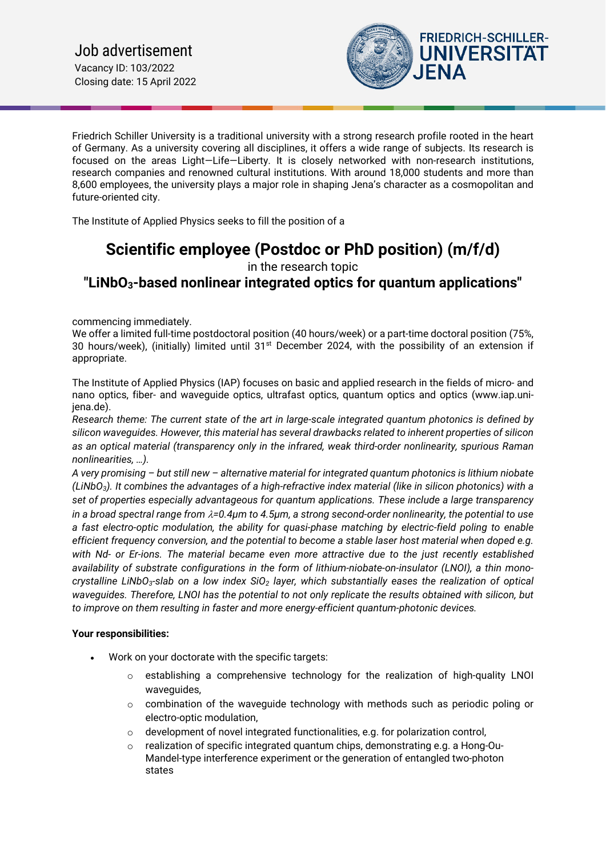

Friedrich Schiller University is a traditional university with a strong research profile rooted in the heart of Germany. As a university covering all disciplines, it offers a wide range of subjects. Its research is focused on the areas Light—Life—Liberty. It is closely networked with non-research institutions, research companies and renowned cultural institutions. With around 18,000 students and more than 8,600 employees, the university plays a major role in shaping Jena's character as a cosmopolitan and future-oriented city.

The Institute of Applied Physics seeks to fill the position of a

# **Scientific employee (Postdoc or PhD position) (m/f/d)** in the research topic

# **"LiNbO3-based nonlinear integrated optics for quantum applications"**

commencing immediately.

We offer a limited full-time postdoctoral position (40 hours/week) or a part-time doctoral position (75%, 30 hours/week), (initially) limited until  $31<sup>st</sup>$  December 2024, with the possibility of an extension if appropriate.

The Institute of Applied Physics (IAP) focuses on basic and applied research in the fields of micro- and nano optics, fiber- and waveguide optics, ultrafast optics, quantum optics and optics (www.iap.unijena.de).

*Research theme: The current state of the art in large-scale integrated quantum photonics is defined by silicon waveguides. However, this material has several drawbacks related to inherent properties of silicon as an optical material (transparency only in the infrared, weak third-order nonlinearity, spurious Raman nonlinearities, …).* 

*A very promising – but still new – alternative material for integrated quantum photonics is lithium niobate (LiNbO3). It combines the advantages of a high-refractive index material (like in silicon photonics) with a set of properties especially advantageous for quantum applications. These include a large transparency in a broad spectral range from* λ*=0.4µm to 4.5µm, a strong second-order nonlinearity, the potential to use a fast electro-optic modulation, the ability for quasi-phase matching by electric-field poling to enable efficient frequency conversion, and the potential to become a stable laser host material when doped e.g. with Nd- or Er-ions. The material became even more attractive due to the just recently established availability of substrate configurations in the form of lithium-niobate-on-insulator (LNOI), a thin monocrystalline LiNbO3-slab on a low index SiO2 layer, which substantially eases the realization of optical waveguides. Therefore, LNOI has the potential to not only replicate the results obtained with silicon, but to improve on them resulting in faster and more energy-efficient quantum-photonic devices.*

## **Your responsibilities:**

- Work on your doctorate with the specific targets:
	- $\circ$  establishing a comprehensive technology for the realization of high-quality LNOI waveguides,
	- $\circ$  combination of the waveguide technology with methods such as periodic poling or electro-optic modulation,
	- o development of novel integrated functionalities, e.g. for polarization control,
	- $\circ$  realization of specific integrated quantum chips, demonstrating e.g. a Hong-Ou-Mandel-type interference experiment or the generation of entangled two-photon states